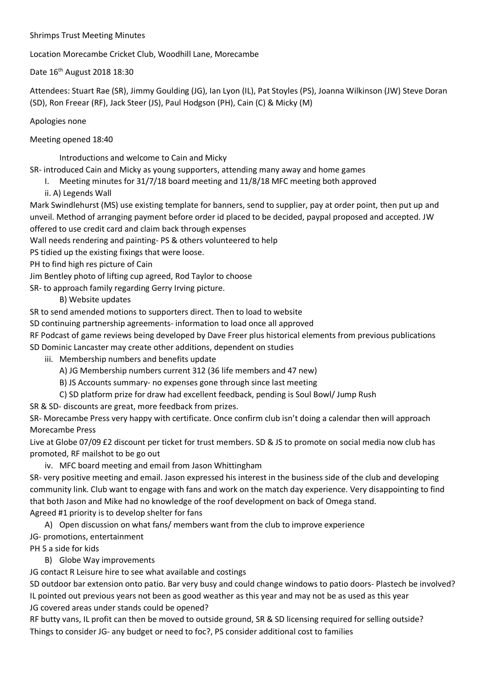## Shrimps Trust Meeting Minutes

Location Morecambe Cricket Club, Woodhill Lane, Morecambe

Date 16th August 2018 18:30

Attendees: Stuart Rae (SR), Jimmy Goulding (JG), Ian Lyon (IL), Pat Stoyles (PS), Joanna Wilkinson (JW) Steve Doran (SD), Ron Freear (RF), Jack Steer (JS), Paul Hodgson (PH), Cain (C) & Micky (M)

## Apologies none

Meeting opened 18:40

Introductions and welcome to Cain and Micky

SR- introduced Cain and Micky as young supporters, attending many away and home games

- I. Meeting minutes for 31/7/18 board meeting and 11/8/18 MFC meeting both approved
- ii. A) Legends Wall

Mark Swindlehurst (MS) use existing template for banners, send to supplier, pay at order point, then put up and unveil. Method of arranging payment before order id placed to be decided, paypal proposed and accepted. JW offered to use credit card and claim back through expenses

Wall needs rendering and painting- PS & others volunteered to help

PS tidied up the existing fixings that were loose.

PH to find high res picture of Cain

Jim Bentley photo of lifting cup agreed, Rod Taylor to choose

SR- to approach family regarding Gerry Irving picture.

## B) Website updates

SR to send amended motions to supporters direct. Then to load to website

SD continuing partnership agreements- information to load once all approved

RF Podcast of game reviews being developed by Dave Freer plus historical elements from previous publications SD Dominic Lancaster may create other additions, dependent on studies

iii. Membership numbers and benefits update

- A) JG Membership numbers current 312 (36 life members and 47 new)
- B) JS Accounts summary- no expenses gone through since last meeting
- C) SD platform prize for draw had excellent feedback, pending is Soul Bowl/ Jump Rush

SR & SD- discounts are great, more feedback from prizes.

SR- Morecambe Press very happy with certificate. Once confirm club isn't doing a calendar then will approach Morecambe Press

Live at Globe 07/09 £2 discount per ticket for trust members. SD & JS to promote on social media now club has promoted, RF mailshot to be go out

iv. MFC board meeting and email from Jason Whittingham

SR- very positive meeting and email. Jason expressed his interest in the business side of the club and developing community link. Club want to engage with fans and work on the match day experience. Very disappointing to find that both Jason and Mike had no knowledge of the roof development on back of Omega stand.

Agreed #1 priority is to develop shelter for fans

A) Open discussion on what fans/ members want from the club to improve experience JG- promotions, entertainment

PH 5 a side for kids

B) Globe Way improvements

JG contact R Leisure hire to see what available and costings

SD outdoor bar extension onto patio. Bar very busy and could change windows to patio doors- Plastech be involved? IL pointed out previous years not been as good weather as this year and may not be as used as this year JG covered areas under stands could be opened?

RF butty vans, IL profit can then be moved to outside ground, SR & SD licensing required for selling outside? Things to consider JG- any budget or need to foc?, PS consider additional cost to families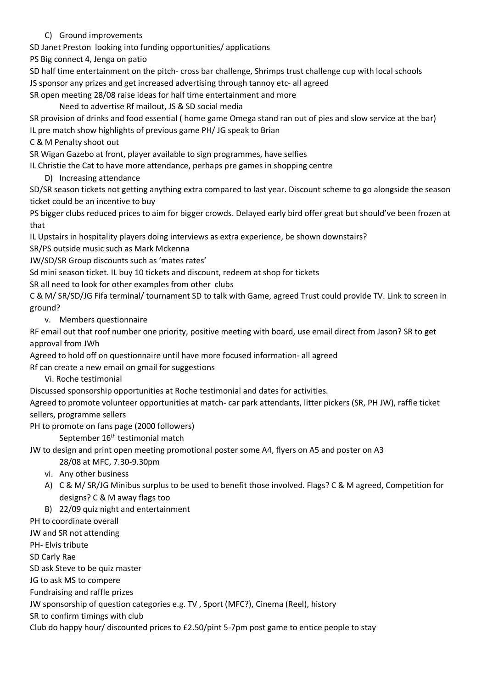## C) Ground improvements

SD Janet Preston looking into funding opportunities/ applications

PS Big connect 4, Jenga on patio

SD half time entertainment on the pitch- cross bar challenge, Shrimps trust challenge cup with local schools JS sponsor any prizes and get increased advertising through tannoy etc- all agreed

SR open meeting 28/08 raise ideas for half time entertainment and more

Need to advertise Rf mailout, JS & SD social media

SR provision of drinks and food essential ( home game Omega stand ran out of pies and slow service at the bar)

IL pre match show highlights of previous game PH/ JG speak to Brian

C & M Penalty shoot out

SR Wigan Gazebo at front, player available to sign programmes, have selfies

IL Christie the Cat to have more attendance, perhaps pre games in shopping centre

D) Increasing attendance

SD/SR season tickets not getting anything extra compared to last year. Discount scheme to go alongside the season ticket could be an incentive to buy

PS bigger clubs reduced prices to aim for bigger crowds. Delayed early bird offer great but should've been frozen at that

IL Upstairs in hospitality players doing interviews as extra experience, be shown downstairs?

SR/PS outside music such as Mark Mckenna

JW/SD/SR Group discounts such as 'mates rates'

Sd mini season ticket. IL buy 10 tickets and discount, redeem at shop for tickets

SR all need to look for other examples from other clubs

C & M/ SR/SD/JG Fifa terminal/ tournament SD to talk with Game, agreed Trust could provide TV. Link to screen in ground?

v. Members questionnaire

RF email out that roof number one priority, positive meeting with board, use email direct from Jason? SR to get approval from JWh

Agreed to hold off on questionnaire until have more focused information- all agreed

Rf can create a new email on gmail for suggestions

Vi. Roche testimonial

Discussed sponsorship opportunities at Roche testimonial and dates for activities.

Agreed to promote volunteer opportunities at match- car park attendants, litter pickers (SR, PH JW), raffle ticket sellers, programme sellers

PH to promote on fans page (2000 followers)

September 16<sup>th</sup> testimonial match

JW to design and print open meeting promotional poster some A4, flyers on A5 and poster on A3

28/08 at MFC, 7.30-9.30pm

- vi. Any other business
- A) C & M/ SR/JG Minibus surplus to be used to benefit those involved. Flags? C & M agreed, Competition for designs? C & M away flags too
- B) 22/09 quiz night and entertainment

PH to coordinate overall

JW and SR not attending

PH- Elvis tribute

SD Carly Rae

SD ask Steve to be quiz master

JG to ask MS to compere

Fundraising and raffle prizes

JW sponsorship of question categories e.g. TV , Sport (MFC?), Cinema (Reel), history

SR to confirm timings with club

Club do happy hour/ discounted prices to £2.50/pint 5-7pm post game to entice people to stay